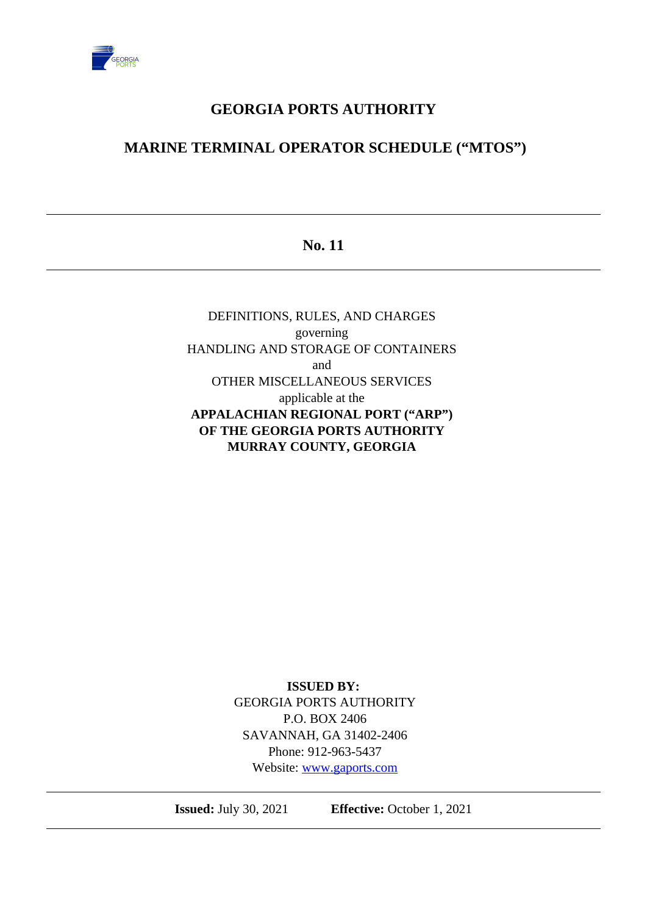

# **GEORGIA PORTS AUTHORITY**

# **MARINE TERMINAL OPERATOR SCHEDULE ("MTOS")**

### **No. 11**

DEFINITIONS, RULES, AND CHARGES governing HANDLING AND STORAGE OF CONTAINERS and OTHER MISCELLANEOUS SERVICES applicable at the **APPALACHIAN REGIONAL PORT ("ARP") OF THE GEORGIA PORTS AUTHORITY MURRAY COUNTY, GEORGIA**

> **ISSUED BY:** GEORGIA PORTS AUTHORITY P.O. BOX 2406 SAVANNAH, GA 31402-2406 Phone: 912-963-5437 Website: <www.gaports.com>

**Issued:** July 30, 2021 **Effective:** October 1, 2021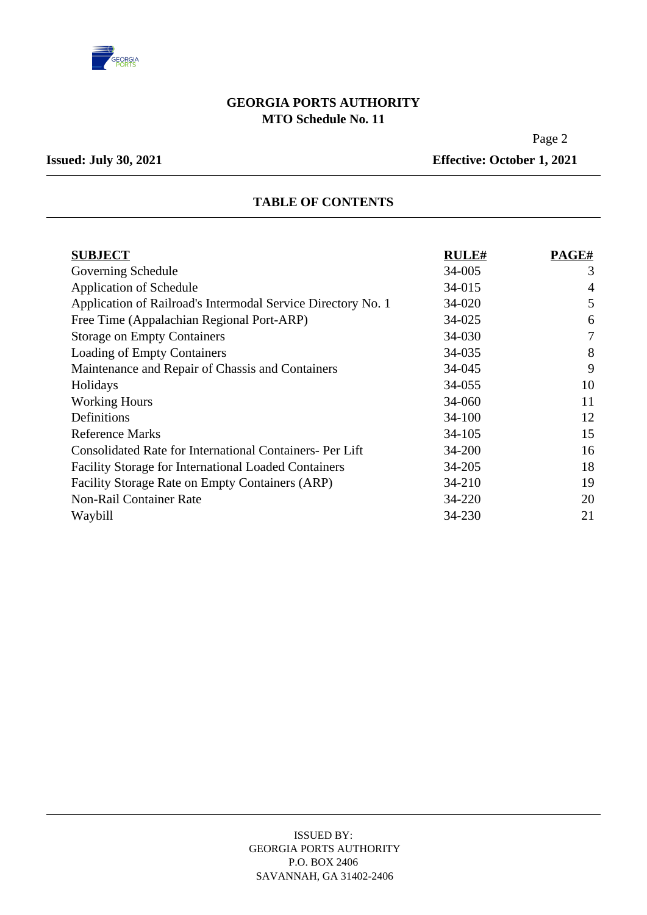

#### **GEORGIA PORTS AUTHORITY MTO Schedule No. 11**

Page 2

**Issued: July 30, 2021 Effective: October 1, 2021** 

#### **TABLE OF CONTENTS**

| <b>SUBJECT</b>                                                  | <b>RULE#</b> | PAGE# |
|-----------------------------------------------------------------|--------------|-------|
| Governing Schedule                                              | 34-005       | 3     |
| <b>Application of Schedule</b>                                  | 34-015       | 4     |
| Application of Railroad's Intermodal Service Directory No. 1    | 34-020       | 5     |
| Free Time (Appalachian Regional Port-ARP)                       | 34-025       | 6     |
| <b>Storage on Empty Containers</b>                              | 34-030       | 7     |
| <b>Loading of Empty Containers</b>                              | 34-035       | 8     |
| Maintenance and Repair of Chassis and Containers                | 34-045       | 9     |
| Holidays                                                        | 34-055       | 10    |
| <b>Working Hours</b>                                            | 34-060       | 11    |
| Definitions                                                     | $34 - 100$   | 12    |
| <b>Reference Marks</b>                                          | 34-105       | 15    |
| <b>Consolidated Rate for International Containers- Per Lift</b> | 34-200       | 16    |
| Facility Storage for International Loaded Containers            | 34-205       | 18    |
| Facility Storage Rate on Empty Containers (ARP)                 | 34-210       | 19    |
| <b>Non-Rail Container Rate</b>                                  | 34-220       | 20    |
| Waybill                                                         | 34-230       | 21    |
|                                                                 |              |       |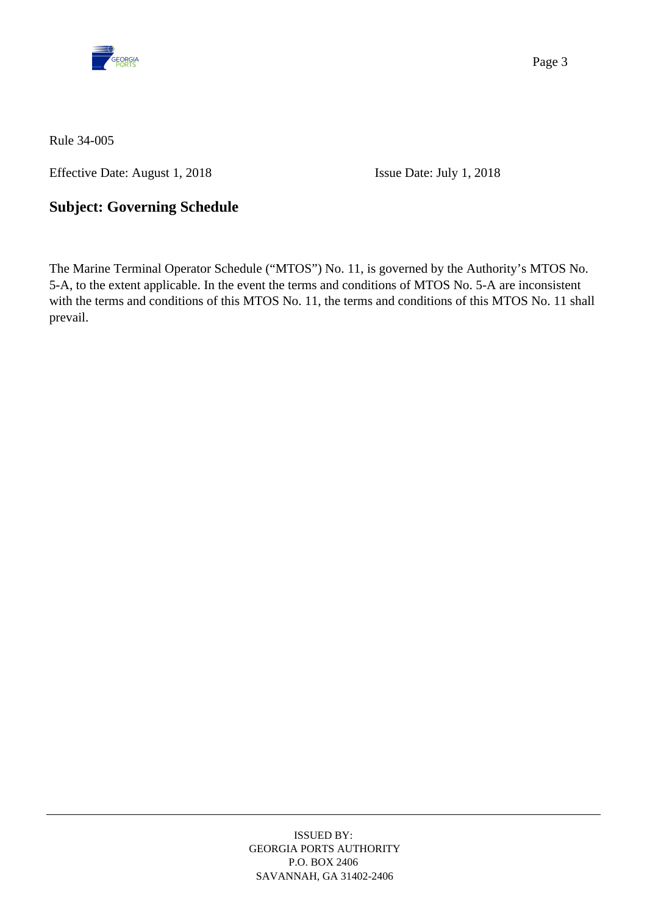

Effective Date: August 1, 2018 Issue Date: July 1, 2018

# **Subject: Governing Schedule**

The Marine Terminal Operator Schedule ("MTOS") No. 11, is governed by the Authority's MTOS No. 5-A, to the extent applicable. In the event the terms and conditions of MTOS No. 5-A are inconsistent with the terms and conditions of this MTOS No. 11, the terms and conditions of this MTOS No. 11 shall prevail.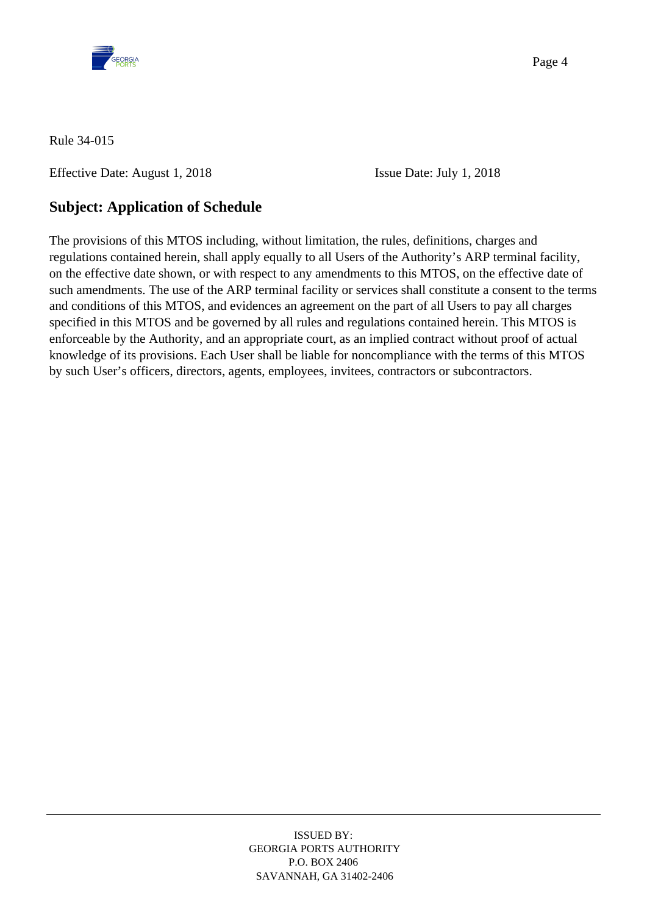

Effective Date: August 1, 2018 Issue Date: July 1, 2018

# **Subject: Application of Schedule**

The provisions of this MTOS including, without limitation, the rules, definitions, charges and regulations contained herein, shall apply equally to all Users of the Authority's ARP terminal facility, on the effective date shown, or with respect to any amendments to this MTOS, on the effective date of such amendments. The use of the ARP terminal facility or services shall constitute a consent to the terms and conditions of this MTOS, and evidences an agreement on the part of all Users to pay all charges specified in this MTOS and be governed by all rules and regulations contained herein. This MTOS is enforceable by the Authority, and an appropriate court, as an implied contract without proof of actual knowledge of its provisions. Each User shall be liable for noncompliance with the terms of this MTOS by such User's officers, directors, agents, employees, invitees, contractors or subcontractors.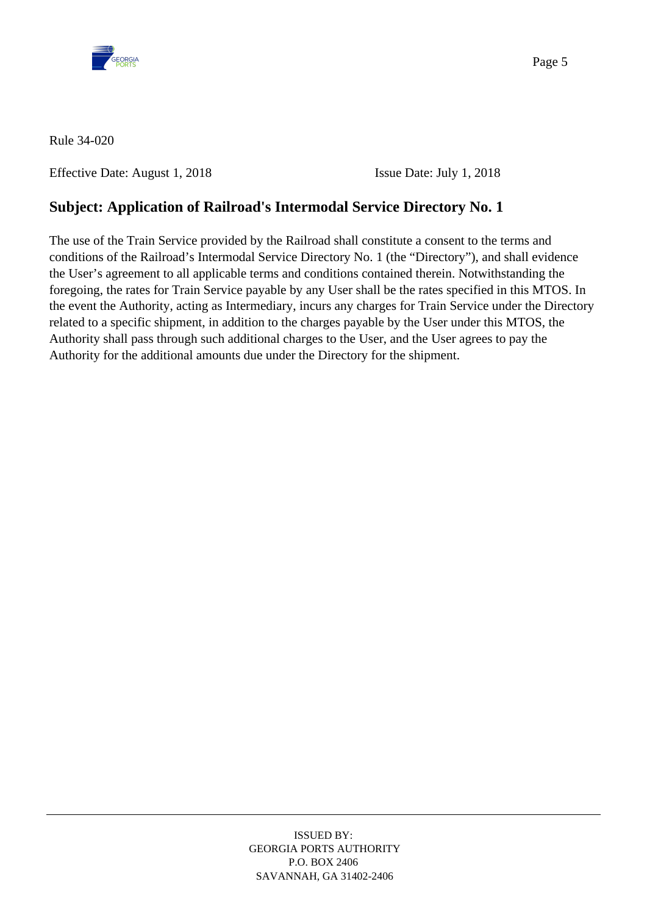

Effective Date: August 1, 2018 Issue Date: July 1, 2018

### **Subject: Application of Railroad's Intermodal Service Directory No. 1**

The use of the Train Service provided by the Railroad shall constitute a consent to the terms and conditions of the Railroad's Intermodal Service Directory No. 1 (the "Directory"), and shall evidence the User's agreement to all applicable terms and conditions contained therein. Notwithstanding the foregoing, the rates for Train Service payable by any User shall be the rates specified in this MTOS. In the event the Authority, acting as Intermediary, incurs any charges for Train Service under the Directory related to a specific shipment, in addition to the charges payable by the User under this MTOS, the Authority shall pass through such additional charges to the User, and the User agrees to pay the Authority for the additional amounts due under the Directory for the shipment.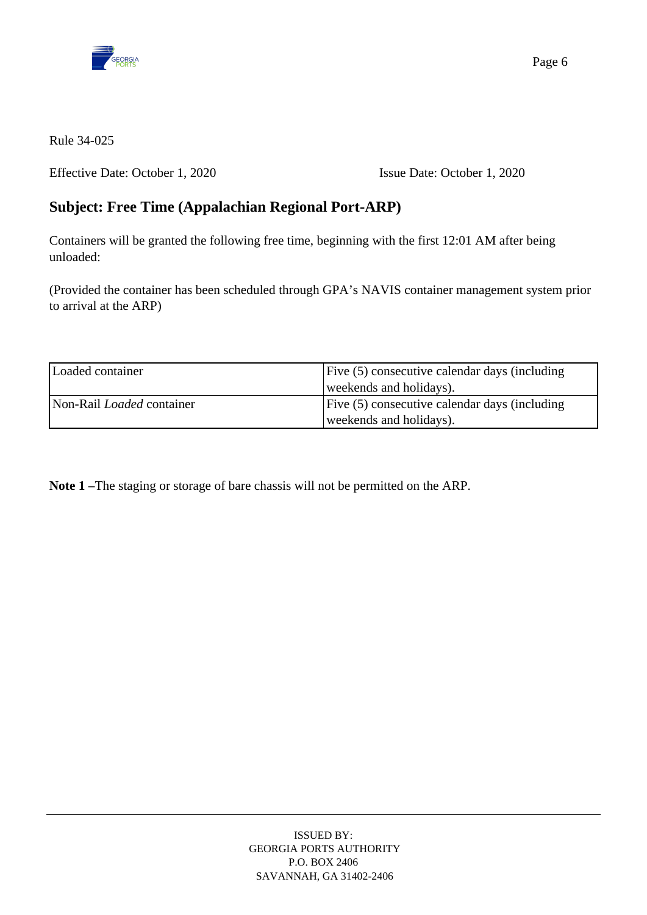

Effective Date: October 1, 2020 Issue Date: October 1, 2020

### **Subject: Free Time (Appalachian Regional Port-ARP)**

Containers will be granted the following free time, beginning with the first 12:01 AM after being unloaded:

(Provided the container has been scheduled through GPA's NAVIS container management system prior to arrival at the ARP)

| Loaded container                 | Five $(5)$ consecutive calendar days (including |
|----------------------------------|-------------------------------------------------|
|                                  | weekends and holidays).                         |
| Non-Rail <i>Loaded</i> container | Five $(5)$ consecutive calendar days (including |
|                                  | weekends and holidays).                         |

**Note 1 –**The staging or storage of bare chassis will not be permitted on the ARP.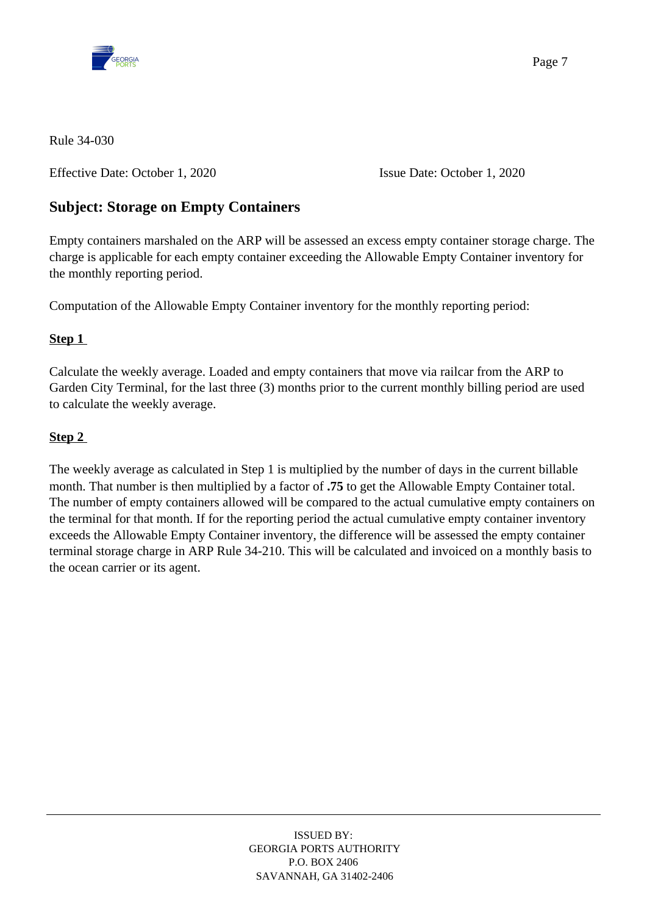

Effective Date: October 1, 2020 Issue Date: October 1, 2020

# **Subject: Storage on Empty Containers**

Empty containers marshaled on the ARP will be assessed an excess empty container storage charge. The charge is applicable for each empty container exceeding the Allowable Empty Container inventory for the monthly reporting period.

Computation of the Allowable Empty Container inventory for the monthly reporting period:

### **Step 1**

Calculate the weekly average. Loaded and empty containers that move via railcar from the ARP to Garden City Terminal, for the last three (3) months prior to the current monthly billing period are used to calculate the weekly average.

### **Step 2**

The weekly average as calculated in Step 1 is multiplied by the number of days in the current billable month. That number is then multiplied by a factor of **.75** to get the Allowable Empty Container total. The number of empty containers allowed will be compared to the actual cumulative empty containers on the terminal for that month. If for the reporting period the actual cumulative empty container inventory exceeds the Allowable Empty Container inventory, the difference will be assessed the empty container terminal storage charge in ARP Rule 34-210. This will be calculated and invoiced on a monthly basis to the ocean carrier or its agent.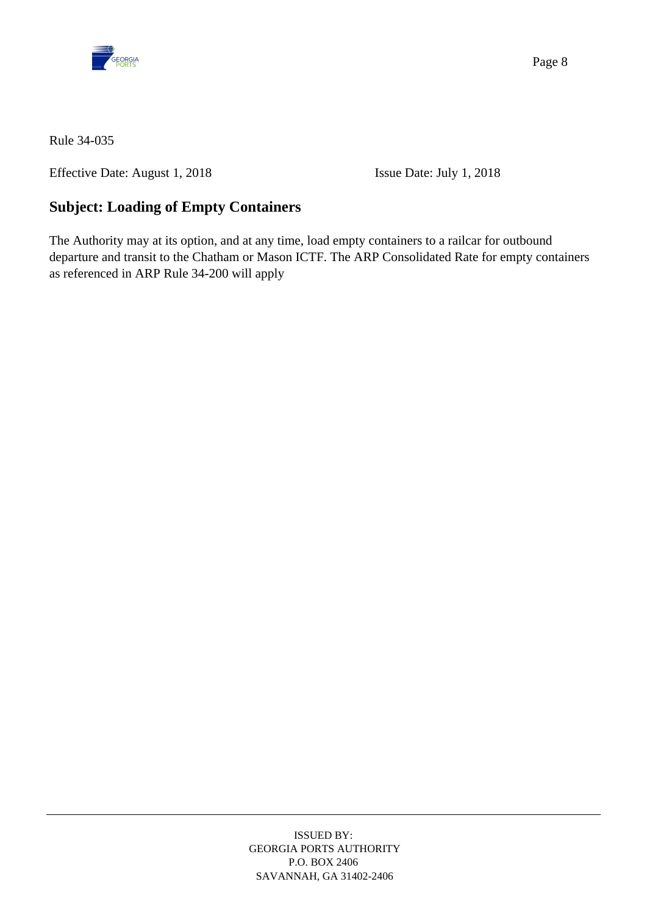

Effective Date: August 1, 2018 Issue Date: July 1, 2018

# **Subject: Loading of Empty Containers**

The Authority may at its option, and at any time, load empty containers to a railcar for outbound departure and transit to the Chatham or Mason ICTF. The ARP Consolidated Rate for empty containers as referenced in ARP Rule 34-200 will apply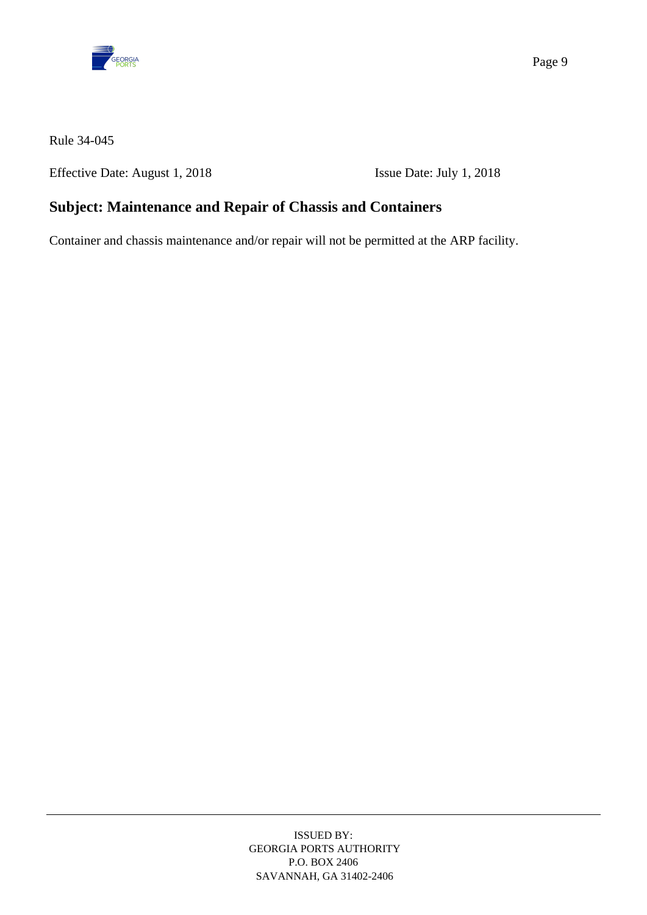

Effective Date: August 1, 2018 Issue Date: July 1, 2018

# **Subject: Maintenance and Repair of Chassis and Containers**

Container and chassis maintenance and/or repair will not be permitted at the ARP facility.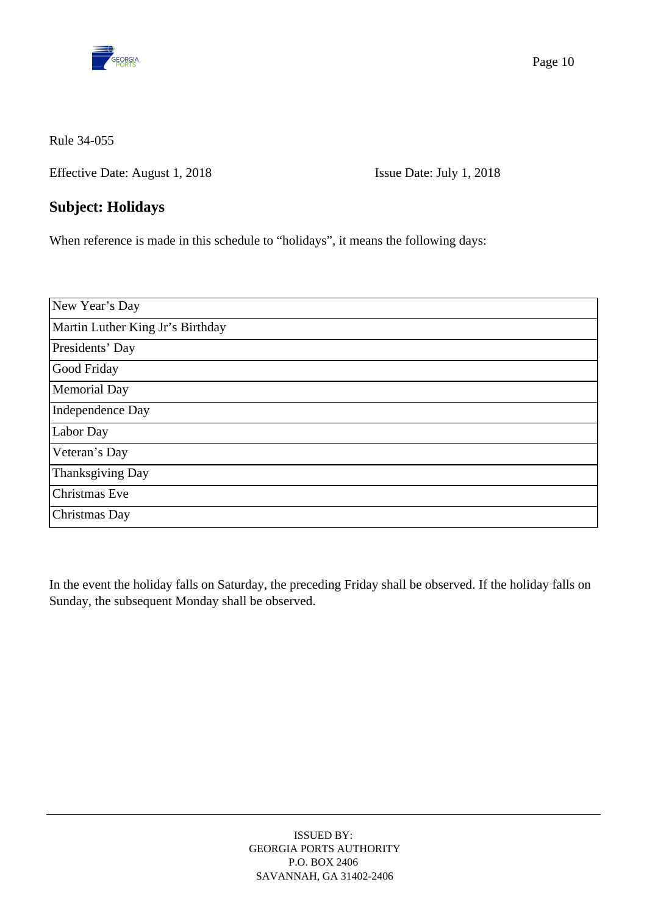

Effective Date: August 1, 2018 Issue Date: July 1, 2018

### **Subject: Holidays**

When reference is made in this schedule to "holidays", it means the following days:

| New Year's Day                   |
|----------------------------------|
| Martin Luther King Jr's Birthday |
| Presidents' Day                  |
| Good Friday                      |
| <b>Memorial Day</b>              |
| Independence Day                 |
| Labor Day                        |
| Veteran's Day                    |
| Thanksgiving Day                 |
| Christmas Eve                    |
| Christmas Day                    |

In the event the holiday falls on Saturday, the preceding Friday shall be observed. If the holiday falls on Sunday, the subsequent Monday shall be observed.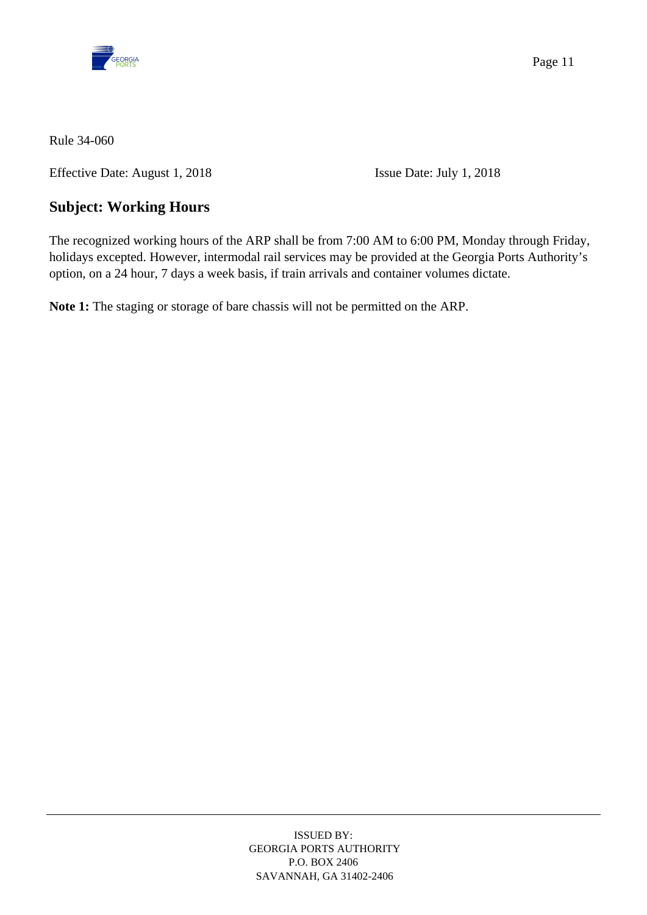

Effective Date: August 1, 2018 Issue Date: July 1, 2018

# **Subject: Working Hours**

The recognized working hours of the ARP shall be from 7:00 AM to 6:00 PM, Monday through Friday, holidays excepted. However, intermodal rail services may be provided at the Georgia Ports Authority's option, on a 24 hour, 7 days a week basis, if train arrivals and container volumes dictate.

**Note 1:** The staging or storage of bare chassis will not be permitted on the ARP.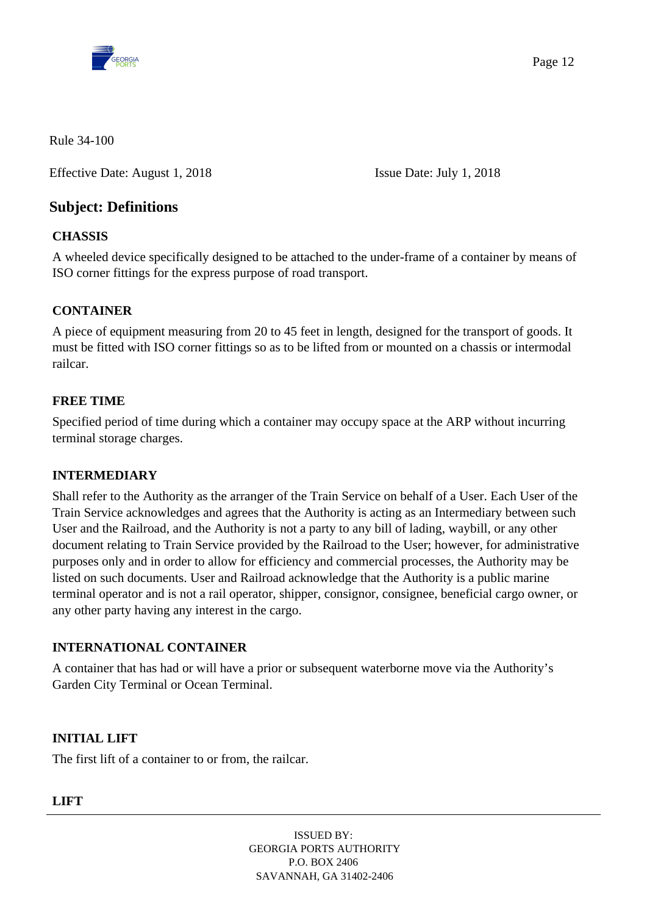

Effective Date: August 1, 2018 Issue Date: July 1, 2018

### **Subject: Definitions**

#### **CHASSIS**

A wheeled device specifically designed to be attached to the under-frame of a container by means of ISO corner fittings for the express purpose of road transport.

#### **CONTAINER**

A piece of equipment measuring from 20 to 45 feet in length, designed for the transport of goods. It must be fitted with ISO corner fittings so as to be lifted from or mounted on a chassis or intermodal railcar.

#### **FREE TIME**

Specified period of time during which a container may occupy space at the ARP without incurring terminal storage charges.

### **INTERMEDIARY**

Shall refer to the Authority as the arranger of the Train Service on behalf of a User. Each User of the Train Service acknowledges and agrees that the Authority is acting as an Intermediary between such User and the Railroad, and the Authority is not a party to any bill of lading, waybill, or any other document relating to Train Service provided by the Railroad to the User; however, for administrative purposes only and in order to allow for efficiency and commercial processes, the Authority may be listed on such documents. User and Railroad acknowledge that the Authority is a public marine terminal operator and is not a rail operator, shipper, consignor, consignee, beneficial cargo owner, or any other party having any interest in the cargo.

### **INTERNATIONAL CONTAINER**

A container that has had or will have a prior or subsequent waterborne move via the Authority's Garden City Terminal or Ocean Terminal.

### **INITIAL LIFT**

The first lift of a container to or from, the railcar.

### **LIFT**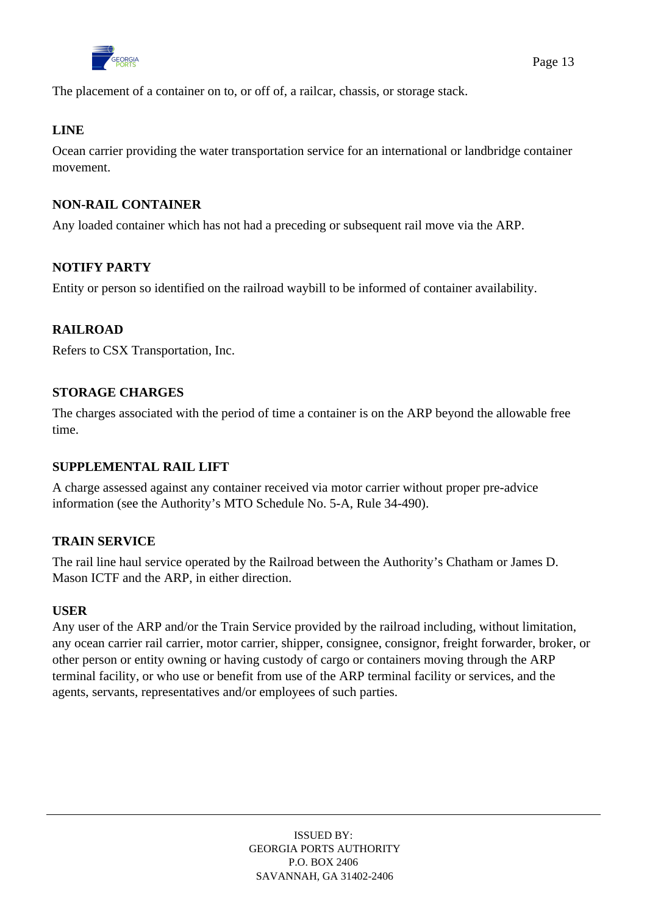

The placement of a container on to, or off of, a railcar, chassis, or storage stack.

#### **LINE**

Ocean carrier providing the water transportation service for an international or landbridge container movement.

#### **NON-RAIL CONTAINER**

Any loaded container which has not had a preceding or subsequent rail move via the ARP.

### **NOTIFY PARTY**

Entity or person so identified on the railroad waybill to be informed of container availability.

#### **RAILROAD**

Refers to CSX Transportation, Inc.

#### **STORAGE CHARGES**

The charges associated with the period of time a container is on the ARP beyond the allowable free time.

#### **SUPPLEMENTAL RAIL LIFT**

A charge assessed against any container received via motor carrier without proper pre-advice information (see the Authority's MTO Schedule No. 5-A, Rule 34-490).

### **TRAIN SERVICE**

The rail line haul service operated by the Railroad between the Authority's Chatham or James D. Mason ICTF and the ARP, in either direction.

#### **USER**

Any user of the ARP and/or the Train Service provided by the railroad including, without limitation, any ocean carrier rail carrier, motor carrier, shipper, consignee, consignor, freight forwarder, broker, or other person or entity owning or having custody of cargo or containers moving through the ARP terminal facility, or who use or benefit from use of the ARP terminal facility or services, and the agents, servants, representatives and/or employees of such parties.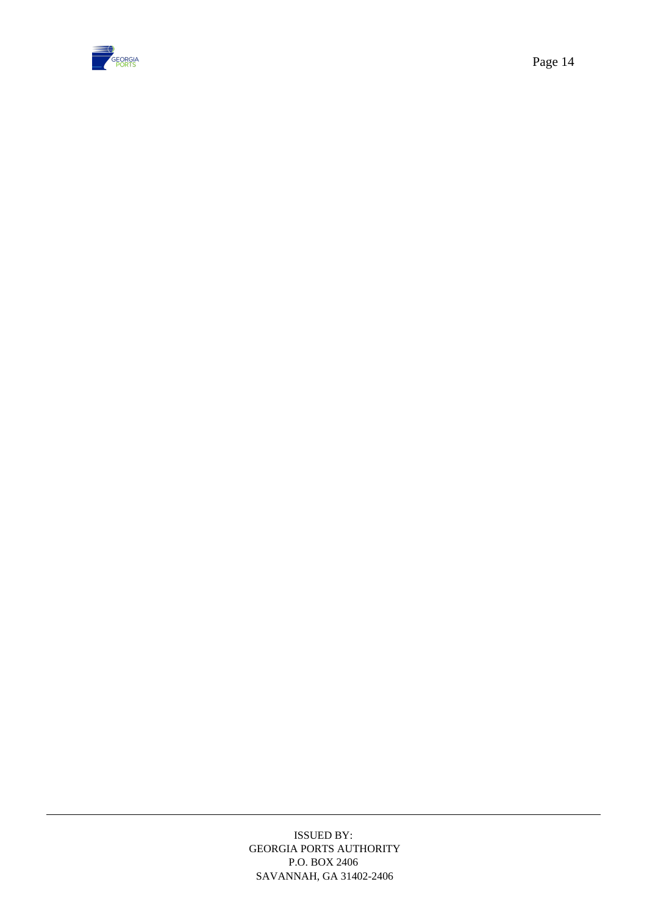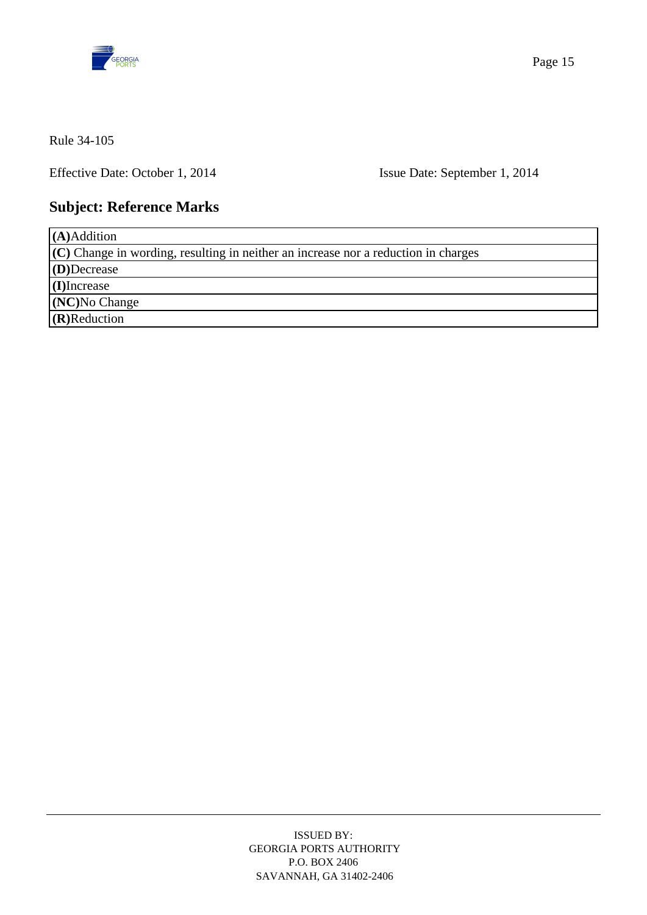

Effective Date: October 1, 2014 Issue Date: September 1, 2014

# **Subject: Reference Marks**

| $(A)$ Addition                                                                       |
|--------------------------------------------------------------------------------------|
| $(C)$ Change in wording, resulting in neither an increase nor a reduction in charges |
| $(D)$ Decrease                                                                       |
| $\textbf{I}$ )Increase                                                               |
| $(NC)$ No Change                                                                     |
| $(R)$ Reduction                                                                      |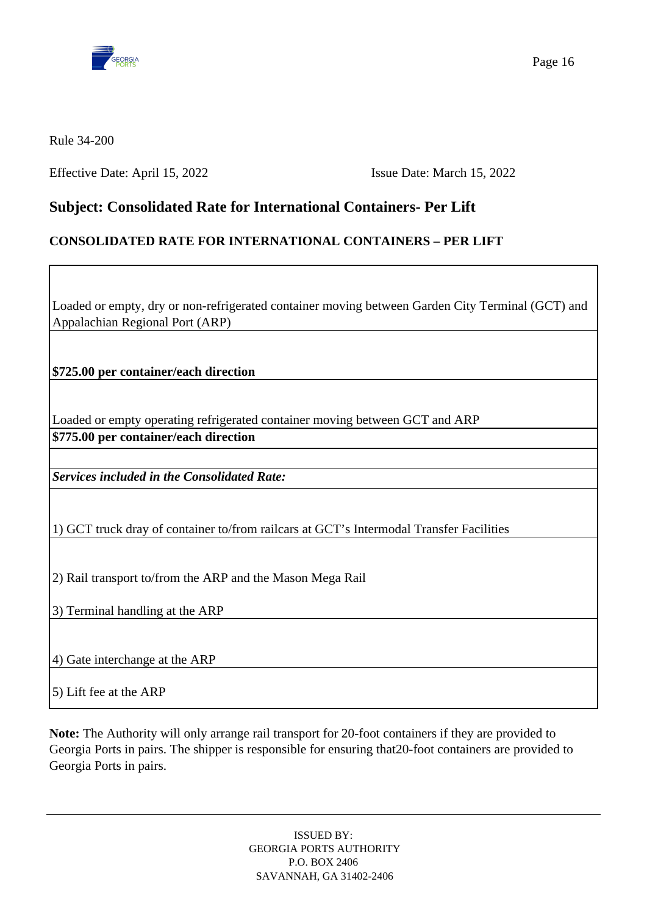

Effective Date: April 15, 2022 Issue Date: March 15, 2022

# **Subject: Consolidated Rate for International Containers- Per Lift**

### **CONSOLIDATED RATE FOR INTERNATIONAL CONTAINERS – PER LIFT**

Loaded or empty, dry or non-refrigerated container moving between Garden City Terminal (GCT) and Appalachian Regional Port (ARP)

**\$725.00 per container/each direction**

Loaded or empty operating refrigerated container moving between GCT and ARP **\$775.00 per container/each direction**

*Services included in the Consolidated Rate:*

1) GCT truck dray of container to/from railcars at GCT's Intermodal Transfer Facilities

2) Rail transport to/from the ARP and the Mason Mega Rail

3) Terminal handling at the ARP

4) Gate interchange at the ARP

5) Lift fee at the ARP

**Note:** The Authority will only arrange rail transport for 20-foot containers if they are provided to Georgia Ports in pairs. The shipper is responsible for ensuring that20-foot containers are provided to Georgia Ports in pairs.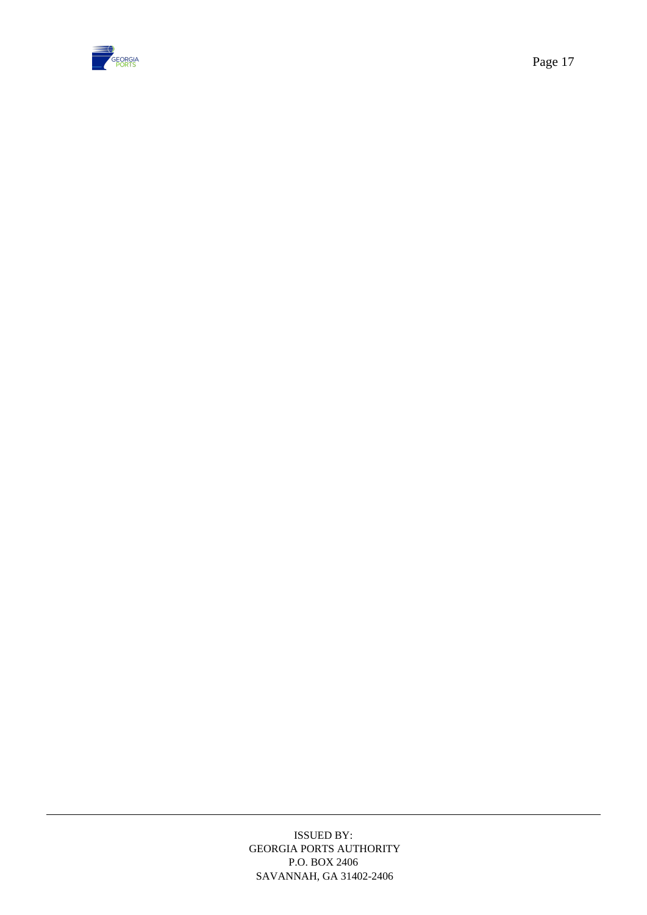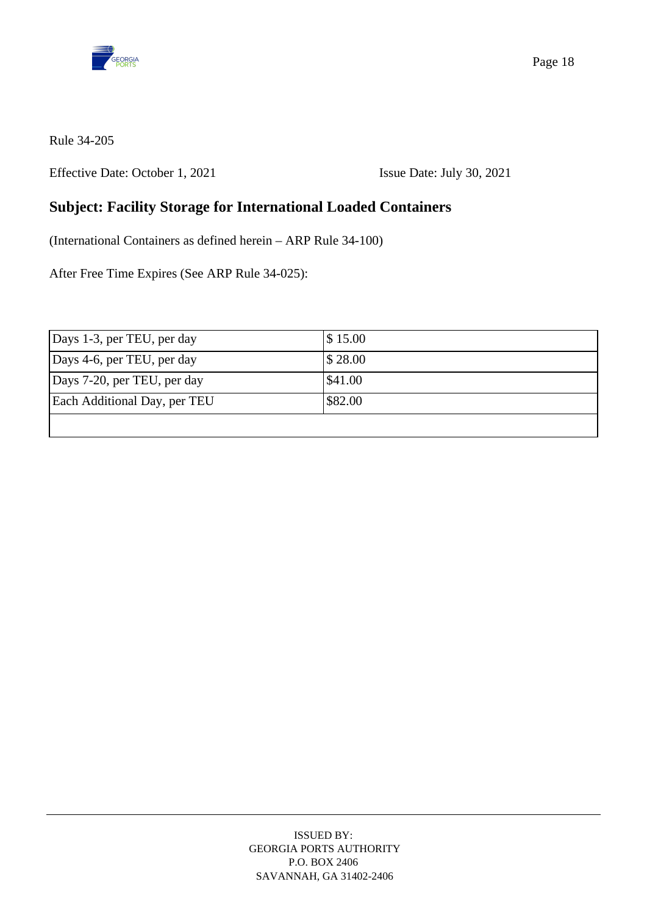

Effective Date: October 1, 2021 Issue Date: July 30, 2021

### **Subject: Facility Storage for International Loaded Containers**

(International Containers as defined herein – ARP Rule 34-100)

After Free Time Expires (See ARP Rule 34-025):

| Days 1-3, per TEU, per day   | $\frac{1}{2}$ 15.00 |
|------------------------------|---------------------|
| Days 4-6, per TEU, per day   | $\frac{1}{2}$ 28.00 |
| Days 7-20, per TEU, per day  | $\$41.00$           |
| Each Additional Day, per TEU | \$82.00             |
|                              |                     |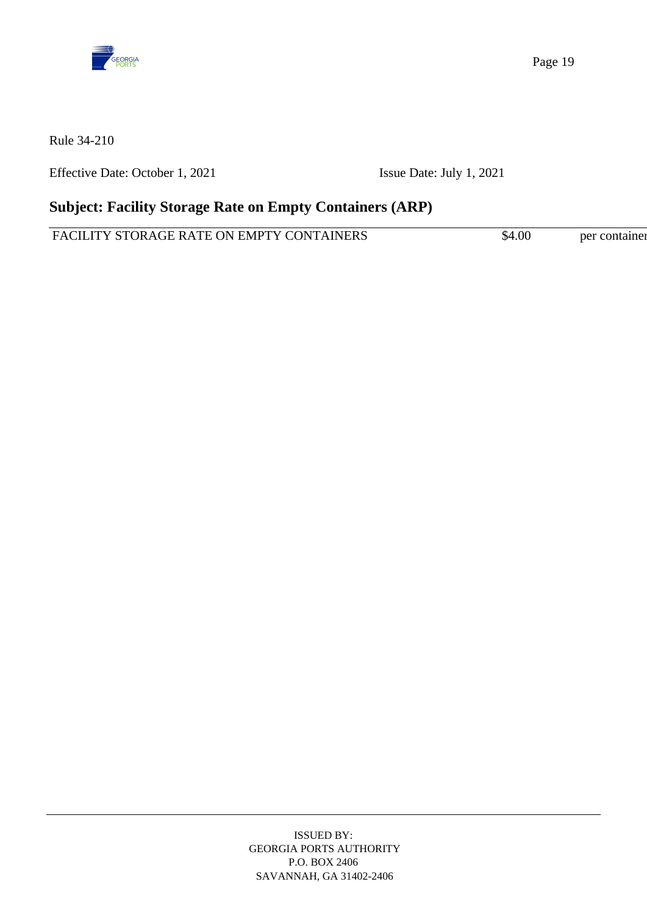

Effective Date: October 1, 2021 Issue Date: July 1, 2021

# **Subject: Facility Storage Rate on Empty Containers (ARP)**

FACILITY STORAGE RATE ON EMPTY CONTAINERS \$4.00 per container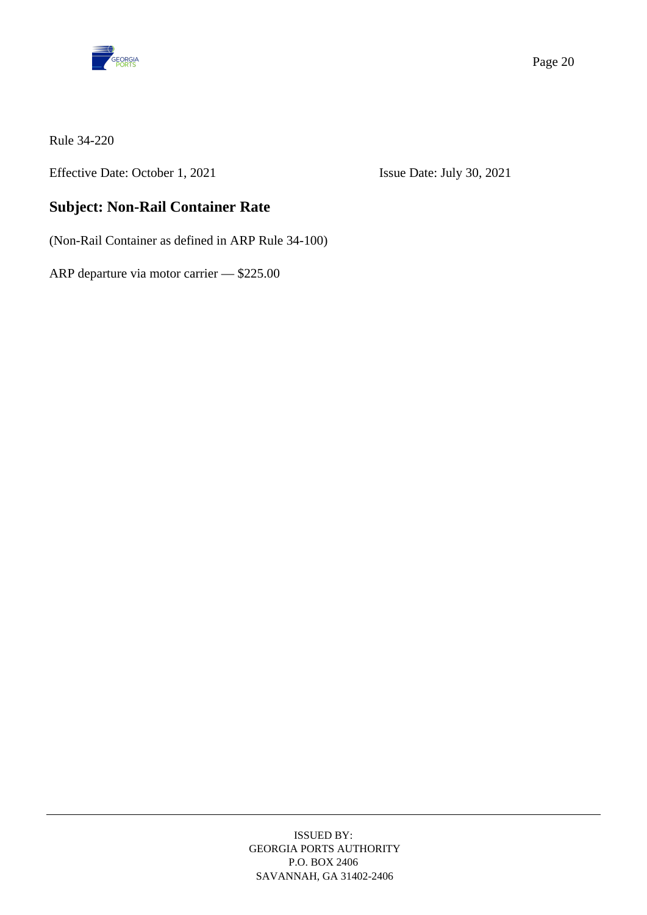

Effective Date: October 1, 2021 Issue Date: July 30, 2021

# **Subject: Non-Rail Container Rate**

(Non-Rail Container as defined in ARP Rule 34-100)

ARP departure via motor carrier — \$225.00